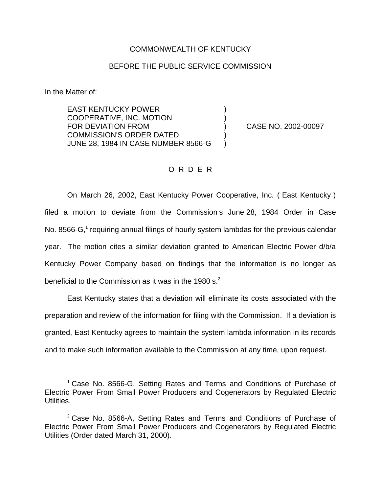## COMMONWEALTH OF KENTUCKY

## BEFORE THE PUBLIC SERVICE COMMISSION

In the Matter of:

**EAST KENTUCKY POWER** COOPERATIVE, INC. MOTION ) FOR DEVIATION FROM ) CASE NO. 2002-00097 COMMISSION'S ORDER DATED ) JUNE 28, 1984 IN CASE NUMBER 8566-G )

## O R D E R

On March 26, 2002, East Kentucky Power Cooperative, Inc. ( East Kentucky ) filed a motion to deviate from the Commission s June 28, 1984 Order in Case No. 8566-G,<sup>1</sup> requiring annual filings of hourly system lambdas for the previous calendar year. The motion cites a similar deviation granted to American Electric Power d/b/a Kentucky Power Company based on findings that the information is no longer as beneficial to the Commission as it was in the 1980 s.<sup>2</sup>

East Kentucky states that a deviation will eliminate its costs associated with the preparation and review of the information for filing with the Commission. If a deviation is granted, East Kentucky agrees to maintain the system lambda information in its records and to make such information available to the Commission at any time, upon request.

<sup>&</sup>lt;sup>1</sup> Case No. 8566-G, Setting Rates and Terms and Conditions of Purchase of Electric Power From Small Power Producers and Cogenerators by Regulated Electric Utilities.

 $2$  Case No. 8566-A, Setting Rates and Terms and Conditions of Purchase of Electric Power From Small Power Producers and Cogenerators by Regulated Electric Utilities (Order dated March 31, 2000).